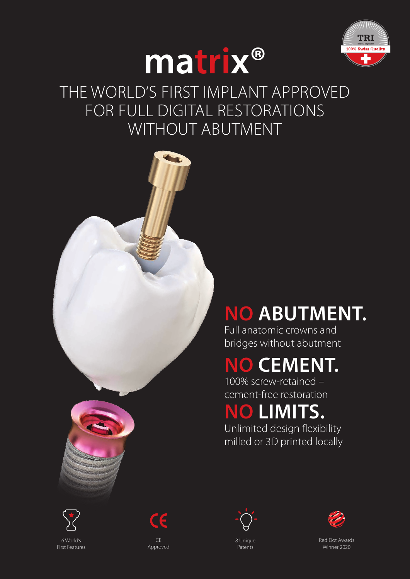



### THE WORLD'S FIRST IMPLANT APPROVED FOR FULL DIGITAL RESTORATIONS WITHOUT ABUTMENT



# **NO ABUTMENT.**

Full anatomic crowns and bridges without abutment

## **NO CEMENT.**

100% screw-retained – cement-free restoration

### **NO LIMITS.**

Unlimited design flexibility milled or 3D printed locally







8 Unique Patents



Red Dot Awards Winner 2020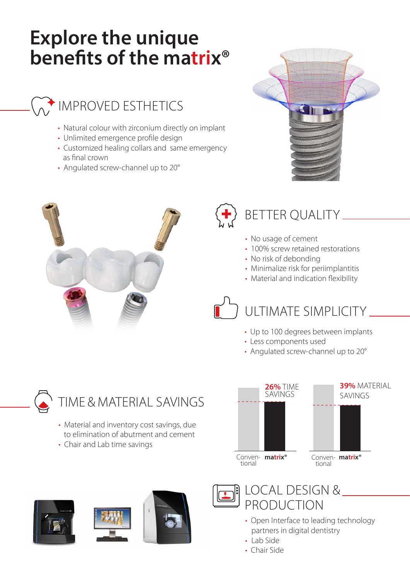## **Explore the unique benefits of the matrix®**

#### IMPROVED ESTHETICS

- Natural colour with zirconium directly on implant
- Unlimited emergence profile design
- Customized healing collars and same emergency as final crown
- Angulated screw-channel up to 20°







#### BETTER QUALITY

- No usage of cement
- 100% screw retained restorations
- No risk of debonding
- Minimalize risk for periimplantitis
- Material and indication flexibility

## ULTIMATE SIMPLICITY

- Up to 100 degrees between implants
- Less components used
- Angulated screw-channel up to 20°



- Material and inventory cost savings, due to elimination of abutment and cement
- Chair and Lab time savings











- Open Interface to leading technology partners in digital dentistry
- Lab Side
- Chair Side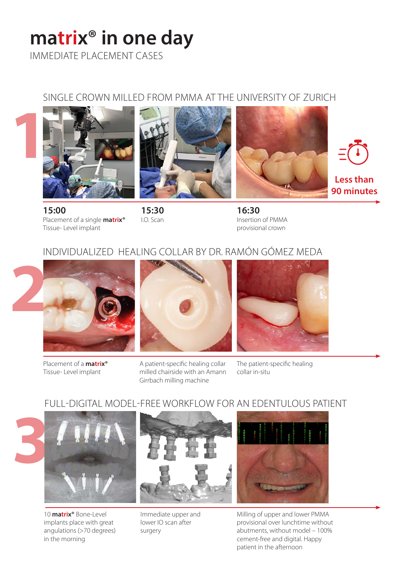# **matrix® in one day**

IMMEDIATE PLACEMENT CASES

#### SINGLE CROWN MILLED FROM PMMA AT THE UNIVERSITY OF ZURICH









**15:00** Placement of a single **matrix®** Tissue- Level implant

**15:30** I.O. Scan

**16:30** Insertion of PMMA provisional crown

#### INDIVIDUALIZED HEALING COLLAR BY DR. RAMÓN GÓMEZ MEDA



Placement of a **matrix®** Tissue- Level implant

A patient-specific healing collar milled chairside with an Amann Girrbach milling machine

The patient-specific healing collar in-situ

#### FULL-DIGITAL MODEL-FREE WORKFLOW FOR AN EDENTULOUS PATIENT



10 **matrix®** Bone-Level implants place with great angulations (>70 degrees) in the morning



Immediate upper and lower IO scan after surgery



Milling of upper and lower PMMA provisional over lunchtime without abutments, without model – 100% cement-free and digital. Happy patient in the afternoon